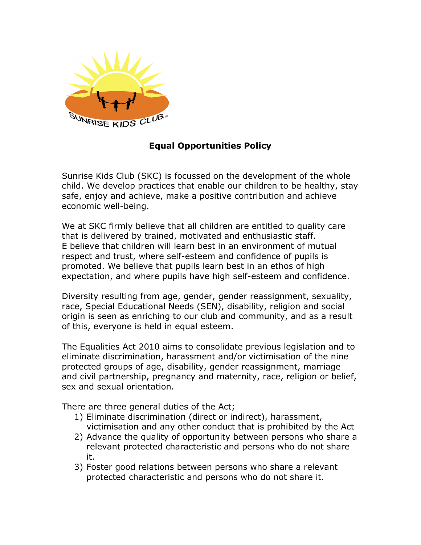

# **Equal Opportunities Policy**

Sunrise Kids Club (SKC) is focussed on the development of the whole child. We develop practices that enable our children to be healthy, stay safe, enjoy and achieve, make a positive contribution and achieve economic well-being.

We at SKC firmly believe that all children are entitled to quality care that is delivered by trained, motivated and enthusiastic staff. E believe that children will learn best in an environment of mutual respect and trust, where self-esteem and confidence of pupils is promoted. We believe that pupils learn best in an ethos of high expectation, and where pupils have high self-esteem and confidence.

Diversity resulting from age, gender, gender reassignment, sexuality, race, Special Educational Needs (SEN), disability, religion and social origin is seen as enriching to our club and community, and as a result of this, everyone is held in equal esteem.

The Equalities Act 2010 aims to consolidate previous legislation and to eliminate discrimination, harassment and/or victimisation of the nine protected groups of age, disability, gender reassignment, marriage and civil partnership, pregnancy and maternity, race, religion or belief, sex and sexual orientation.

There are three general duties of the Act;

- 1) Eliminate discrimination (direct or indirect), harassment, victimisation and any other conduct that is prohibited by the Act
- 2) Advance the quality of opportunity between persons who share a relevant protected characteristic and persons who do not share it.
- 3) Foster good relations between persons who share a relevant protected characteristic and persons who do not share it.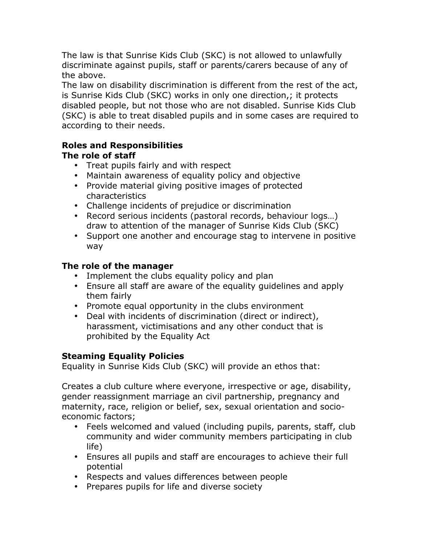The law is that Sunrise Kids Club (SKC) is not allowed to unlawfully discriminate against pupils, staff or parents/carers because of any of the above.

The law on disability discrimination is different from the rest of the act, is Sunrise Kids Club (SKC) works in only one direction,; it protects disabled people, but not those who are not disabled. Sunrise Kids Club (SKC) is able to treat disabled pupils and in some cases are required to according to their needs.

### **Roles and Responsibilities The role of staff**

- Treat pupils fairly and with respect
- Maintain awareness of equality policy and objective
- Provide material giving positive images of protected characteristics
- Challenge incidents of prejudice or discrimination
- Record serious incidents (pastoral records, behaviour logs…) draw to attention of the manager of Sunrise Kids Club (SKC)
- Support one another and encourage stag to intervene in positive way

## **The role of the manager**

- Implement the clubs equality policy and plan
- Ensure all staff are aware of the equality guidelines and apply them fairly
- Promote equal opportunity in the clubs environment
- Deal with incidents of discrimination (direct or indirect), harassment, victimisations and any other conduct that is prohibited by the Equality Act

## **Steaming Equality Policies**

Equality in Sunrise Kids Club (SKC) will provide an ethos that:

Creates a club culture where everyone, irrespective or age, disability, gender reassignment marriage an civil partnership, pregnancy and maternity, race, religion or belief, sex, sexual orientation and socioeconomic factors;

- Feels welcomed and valued (including pupils, parents, staff, club community and wider community members participating in club life)
- Ensures all pupils and staff are encourages to achieve their full potential
- Respects and values differences between people
- Prepares pupils for life and diverse society